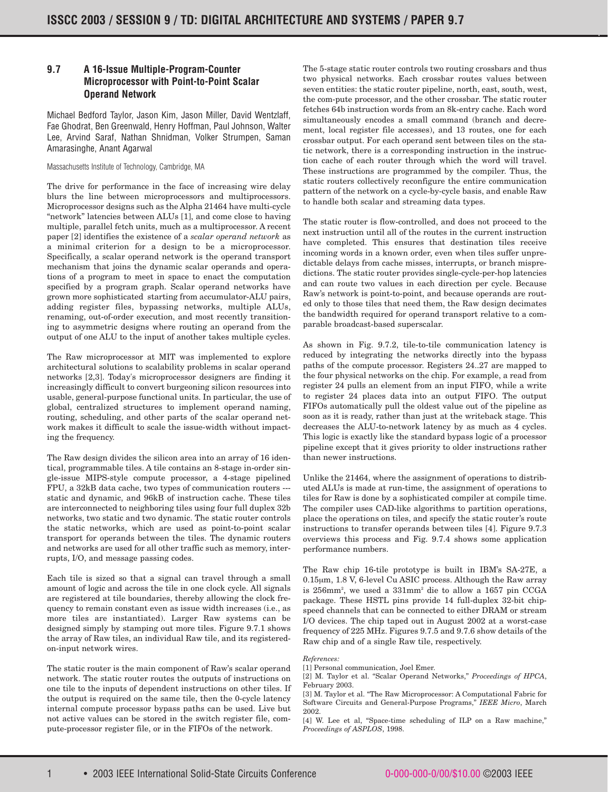## **9.7 A 16-Issue Multiple-Program-Counter Microprocessor with Point-to-Point Scalar Operand Network**

Michael Bedford Taylor, Jason Kim, Jason Miller, David Wentzlaff, Fae Ghodrat, Ben Greenwald, Henry Hoffman, Paul Johnson, Walter Lee, Arvind Saraf, Nathan Shnidman, Volker Strumpen, Saman Amarasinghe, Anant Agarwal

## Massachusetts Institute of Technology, Cambridge, MA

The drive for performance in the face of increasing wire delay blurs the line between microprocessors and multiprocessors. Microprocessor designs such as the Alpha 21464 have multi-cycle "network" latencies between ALUs [1], and come close to having multiple, parallel fetch units, much as a multiprocessor. A recent paper [2] identifies the existence of a *scalar operand network* as a minimal criterion for a design to be a microprocessor. Specifically, a scalar operand network is the operand transport mechanism that joins the dynamic scalar operands and operations of a program to meet in space to enact the computation specified by a program graph. Scalar operand networks have grown more sophisticated starting from accumulator-ALU pairs, adding register files, bypassing networks, multiple ALUs, renaming, out-of-order execution, and most recently transitioning to asymmetric designs where routing an operand from the output of one ALU to the input of another takes multiple cycles.

The Raw microprocessor at MIT was implemented to explore architectural solutions to scalability problems in scalar operand networks [2,3]. Today's microprocessor designers are finding it increasingly difficult to convert burgeoning silicon resources into usable, general-purpose functional units. In particular, the use of global, centralized structures to implement operand naming, routing, scheduling, and other parts of the scalar operand network makes it difficult to scale the issue-width without impacting the frequency.

The Raw design divides the silicon area into an array of 16 identical, programmable tiles. A tile contains an 8-stage in-order single-issue MIPS-style compute processor, a 4-stage pipelined FPU, a 32kB data cache, two types of communication routers -- static and dynamic, and 96kB of instruction cache. These tiles are interconnected to neighboring tiles using four full duplex 32b networks, two static and two dynamic. The static router controls the static networks, which are used as point-to-point scalar transport for operands between the tiles. The dynamic routers and networks are used for all other traffic such as memory, interrupts, I/O, and message passing codes.

Each tile is sized so that a signal can travel through a small amount of logic and across the tile in one clock cycle. All signals are registered at tile boundaries, thereby allowing the clock frequency to remain constant even as issue width increases (i.e., as more tiles are instantiated). Larger Raw systems can be designed simply by stamping out more tiles. Figure 9.7.1 shows the array of Raw tiles, an individual Raw tile, and its registeredon-input network wires.

The static router is the main component of Raw's scalar operand network. The static router routes the outputs of instructions on one tile to the inputs of dependent instructions on other tiles. If the output is required on the same tile, then the 0-cycle latency internal compute processor bypass paths can be used. Live but not active values can be stored in the switch register file, compute-processor register file, or in the FIFOs of the network.

The 5-stage static router controls two routing crossbars and thus two physical networks. Each crossbar routes values between seven entities: the static router pipeline, north, east, south, west, the com-pute processor, and the other crossbar. The static router fetches 64b instruction words from an 8k-entry cache. Each word simultaneously encodes a small command (branch and decrement, local register file accesses), and 13 routes, one for each crossbar output. For each operand sent between tiles on the static network, there is a corresponding instruction in the instruction cache of each router through which the word will travel. These instructions are programmed by the compiler. Thus, the static routers collectively reconfigure the entire communication pattern of the network on a cycle-by-cycle basis, and enable Raw to handle both scalar and streaming data types.

The static router is flow-controlled, and does not proceed to the next instruction until all of the routes in the current instruction have completed. This ensures that destination tiles receive incoming words in a known order, even when tiles suffer unpredictable delays from cache misses, interrupts, or branch mispredictions. The static router provides single-cycle-per-hop latencies and can route two values in each direction per cycle. Because Raw's network is point-to-point, and because operands are routed only to those tiles that need them, the Raw design decimates the bandwidth required for operand transport relative to a comparable broadcast-based superscalar.

As shown in Fig. 9.7.2, tile-to-tile communication latency is reduced by integrating the networks directly into the bypass paths of the compute processor. Registers 24..27 are mapped to the four physical networks on the chip. For example, a read from register 24 pulls an element from an input FIFO, while a write to register 24 places data into an output FIFO. The output FIFOs automatically pull the oldest value out of the pipeline as soon as it is ready, rather than just at the writeback stage. This decreases the ALU-to-network latency by as much as 4 cycles. This logic is exactly like the standard bypass logic of a processor pipeline except that it gives priority to older instructions rather than newer instructions.

Unlike the 21464, where the assignment of operations to distributed ALUs is made at run-time, the assignment of operations to tiles for Raw is done by a sophisticated compiler at compile time. The compiler uses CAD-like algorithms to partition operations, place the operations on tiles, and specify the static router's route instructions to transfer operands between tiles [4]. Figure 9.7.3 overviews this process and Fig. 9.7.4 shows some application performance numbers.

The Raw chip 16-tile prototype is built in IBM's SA-27E, a 0.15µm, 1.8 V, 6-level Cu ASIC process. Although the Raw array is 256mm2 , we used a 331mm2 die to allow a 1657 pin CCGA package. These HSTL pins provide 14 full-duplex 32-bit chipspeed channels that can be connected to either DRAM or stream I/O devices. The chip taped out in August 2002 at a worst-case frequency of 225 MHz. Figures 9.7.5 and 9.7.6 show details of the Raw chip and of a single Raw tile, respectively.

## *References:*

[1] Personal communication, Joel Emer.

[2] M. Taylor et al. "Scalar Operand Networks," *Proceedings of HPCA*, February 2003.

[3] M. Taylor et al. "The Raw Microprocessor: A Computational Fabric for Software Circuits and General-Purpose Programs," *IEEE Micro*, March 2002.

[4] W. Lee et al, "Space-time scheduling of ILP on a Raw machine," *Proceedings of ASPLOS*, 1998.